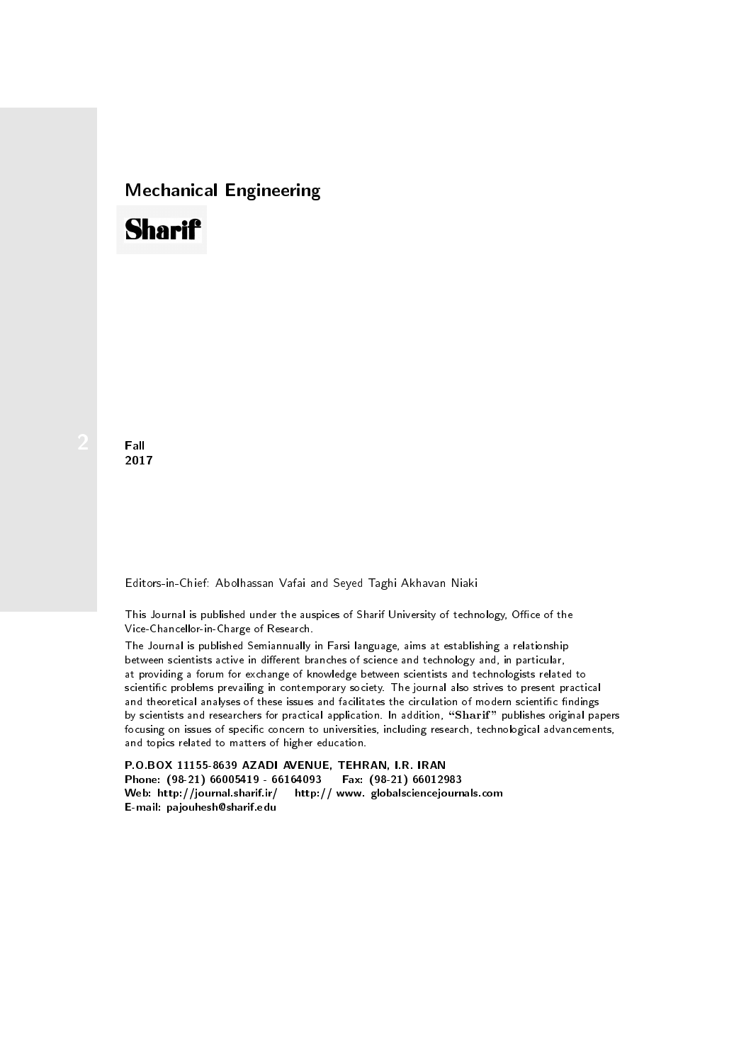## Mechanical Engineering

## **Sharif**

**Fall** 2017

Editors-in-Chief: Abolhassan Vafai and Seyed Taghi Akhavan Niaki

This Journal is published under the auspices of Sharif University of technology, Office of the Vice-Chancellor-in-Charge of Research.

between scientists active in different branches of science and technology and, in particular, at providing a forum for exchange of knowledge between scientists and technologists related to scientic problems prevailing in contemporary society. The journal also strives to present practical and theoretical analyses of these issues and facilitates the circulation of modern scientific findings by scientists and researchers for practical application. In addition, "Sharif" publishes original papers focusing on issues of specific concern to universities, including research, technological advancements, and topics related to matters of higher education. The Journal is published Semiannually in Farsi language, aims at establishing a relationship

P.O.BOX 11155-8639 AZADI AVENUE, TEHRAN, I.R. IRAN Phone: (98-21) 66005419 - 66164093 Fax: (98-21) 66012983 Web: http://journal.sharif.ir/ http:// www. globalsciencejournals.com E-mail: pajouhesh@sharif.edu